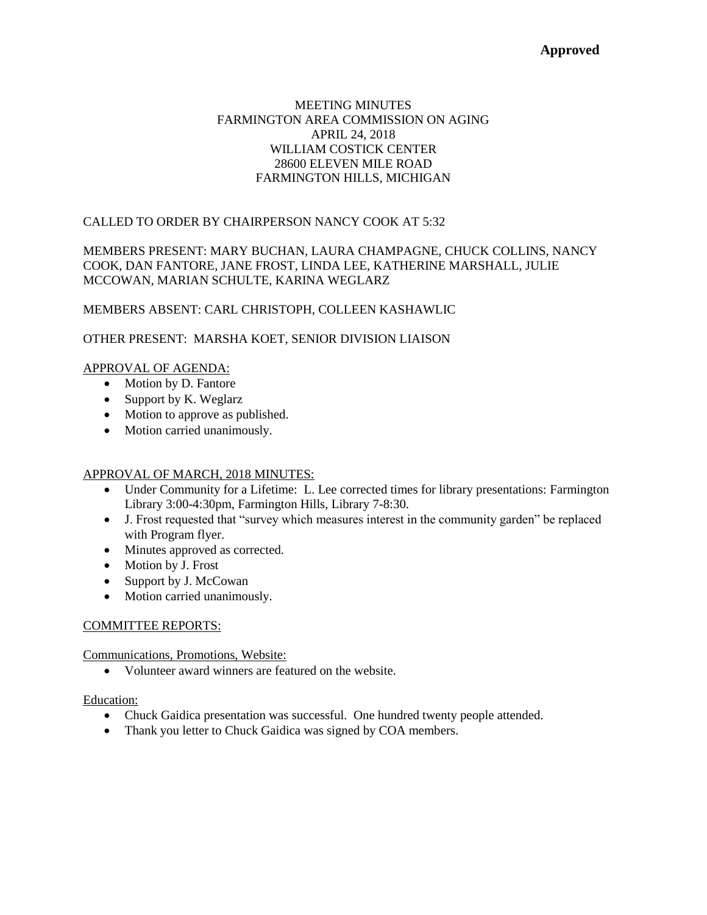# **Approved**

### MEETING MINUTES FARMINGTON AREA COMMISSION ON AGING APRIL 24, 2018 WILLIAM COSTICK CENTER 28600 ELEVEN MILE ROAD FARMINGTON HILLS, MICHIGAN

# CALLED TO ORDER BY CHAIRPERSON NANCY COOK AT 5:32

### MEMBERS PRESENT: MARY BUCHAN, LAURA CHAMPAGNE, CHUCK COLLINS, NANCY COOK, DAN FANTORE, JANE FROST, LINDA LEE, KATHERINE MARSHALL, JULIE MCCOWAN, MARIAN SCHULTE, KARINA WEGLARZ

#### MEMBERS ABSENT: CARL CHRISTOPH, COLLEEN KASHAWLIC

#### OTHER PRESENT: MARSHA KOET, SENIOR DIVISION LIAISON

#### APPROVAL OF AGENDA:

- Motion by D. Fantore
- Support by K. Weglarz
- Motion to approve as published.
- Motion carried unanimously.

### APPROVAL OF MARCH, 2018 MINUTES:

- Under Community for a Lifetime: L. Lee corrected times for library presentations: Farmington Library 3:00-4:30pm, Farmington Hills, Library 7-8:30.
- J. Frost requested that "survey which measures interest in the community garden" be replaced with Program flyer.
- Minutes approved as corrected.
- Motion by J. Frost
- Support by J. McCowan
- Motion carried unanimously.

### COMMITTEE REPORTS:

Communications, Promotions, Website:

Volunteer award winners are featured on the website.

### Education:

- Chuck Gaidica presentation was successful. One hundred twenty people attended.
- Thank you letter to Chuck Gaidica was signed by COA members.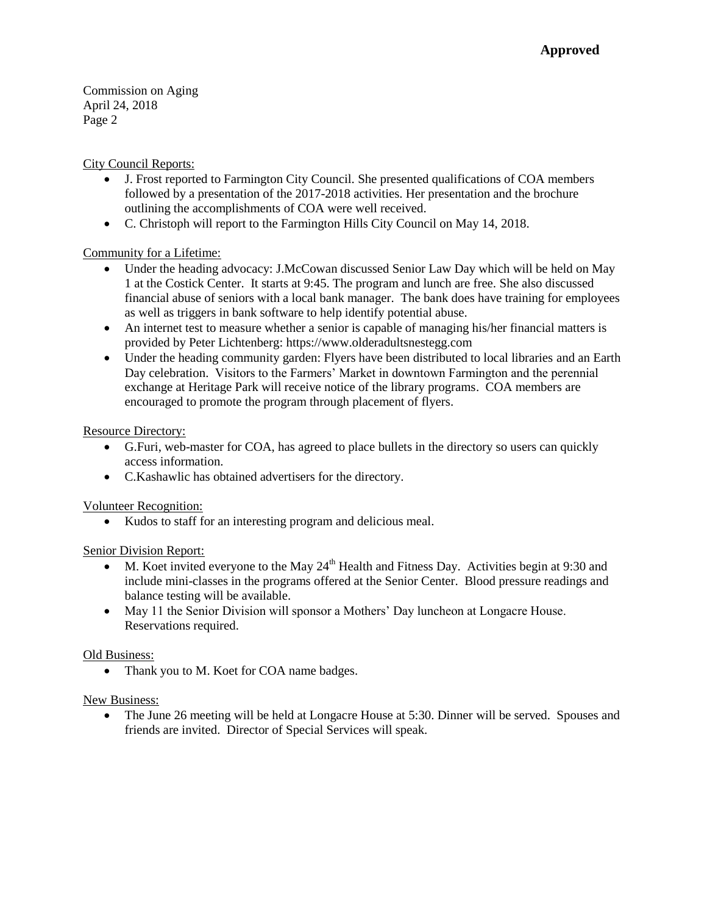Commission on Aging April 24, 2018 Page 2

City Council Reports:

- J. Frost reported to Farmington City Council. She presented qualifications of COA members followed by a presentation of the 2017-2018 activities. Her presentation and the brochure outlining the accomplishments of COA were well received.
- C. Christoph will report to the Farmington Hills City Council on May 14, 2018.

# Community for a Lifetime:

- Under the heading advocacy: J.McCowan discussed Senior Law Day which will be held on May 1 at the Costick Center. It starts at 9:45. The program and lunch are free. She also discussed financial abuse of seniors with a local bank manager. The bank does have training for employees as well as triggers in bank software to help identify potential abuse.
- An internet test to measure whether a senior is capable of managing his/her financial matters is provided by Peter Lichtenberg: https://www.olderadultsnestegg.com
- Under the heading community garden: Flyers have been distributed to local libraries and an Earth Day celebration. Visitors to the Farmers' Market in downtown Farmington and the perennial exchange at Heritage Park will receive notice of the library programs. COA members are encouraged to promote the program through placement of flyers.

## Resource Directory:

- G.Furi, web-master for COA, has agreed to place bullets in the directory so users can quickly access information.
- C.Kashawlic has obtained advertisers for the directory.

### Volunteer Recognition:

Kudos to staff for an interesting program and delicious meal.

### Senior Division Report:

- M. Koet invited everyone to the May  $24<sup>th</sup>$  Health and Fitness Day. Activities begin at 9:30 and include mini-classes in the programs offered at the Senior Center. Blood pressure readings and balance testing will be available.
- May 11 the Senior Division will sponsor a Mothers' Day luncheon at Longacre House. Reservations required.

### Old Business:

• Thank you to M. Koet for COA name badges.

### New Business:

• The June 26 meeting will be held at Longacre House at 5:30. Dinner will be served. Spouses and friends are invited. Director of Special Services will speak.